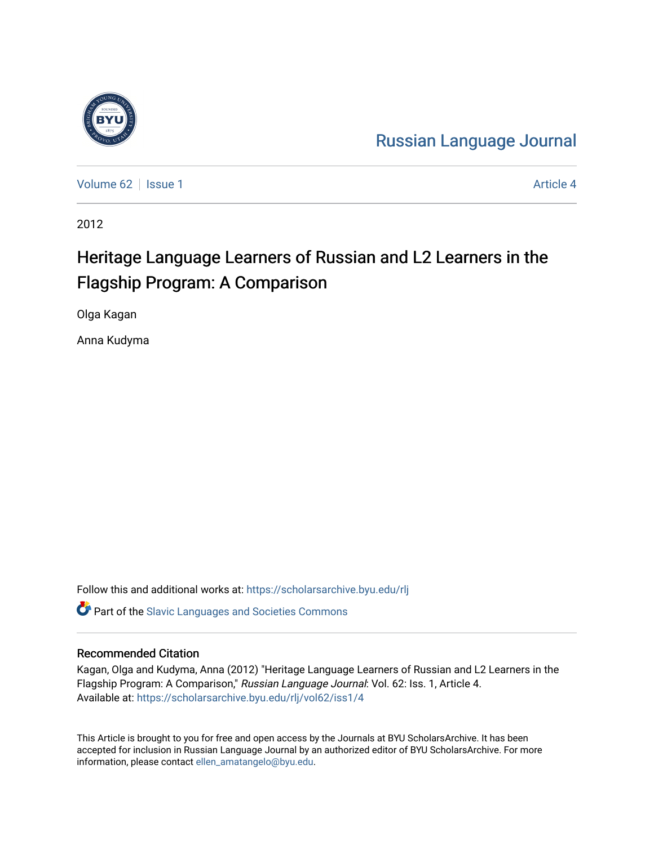

[Russian Language Journal](https://scholarsarchive.byu.edu/rlj) 

[Volume 62](https://scholarsarchive.byu.edu/rlj/vol62) | [Issue 1](https://scholarsarchive.byu.edu/rlj/vol62/iss1) Article 4

2012

# Heritage Language Learners of Russian and L2 Learners in the Flagship Program: A Comparison

Olga Kagan

Anna Kudyma

Follow this and additional works at: [https://scholarsarchive.byu.edu/rlj](https://scholarsarchive.byu.edu/rlj?utm_source=scholarsarchive.byu.edu%2Frlj%2Fvol62%2Fiss1%2F4&utm_medium=PDF&utm_campaign=PDFCoverPages)

**C** Part of the Slavic Languages and Societies Commons

#### Recommended Citation

Kagan, Olga and Kudyma, Anna (2012) "Heritage Language Learners of Russian and L2 Learners in the Flagship Program: A Comparison," Russian Language Journal: Vol. 62: Iss. 1, Article 4. Available at: [https://scholarsarchive.byu.edu/rlj/vol62/iss1/4](https://scholarsarchive.byu.edu/rlj/vol62/iss1/4?utm_source=scholarsarchive.byu.edu%2Frlj%2Fvol62%2Fiss1%2F4&utm_medium=PDF&utm_campaign=PDFCoverPages) 

This Article is brought to you for free and open access by the Journals at BYU ScholarsArchive. It has been accepted for inclusion in Russian Language Journal by an authorized editor of BYU ScholarsArchive. For more information, please contact [ellen\\_amatangelo@byu.edu.](mailto:ellen_amatangelo@byu.edu)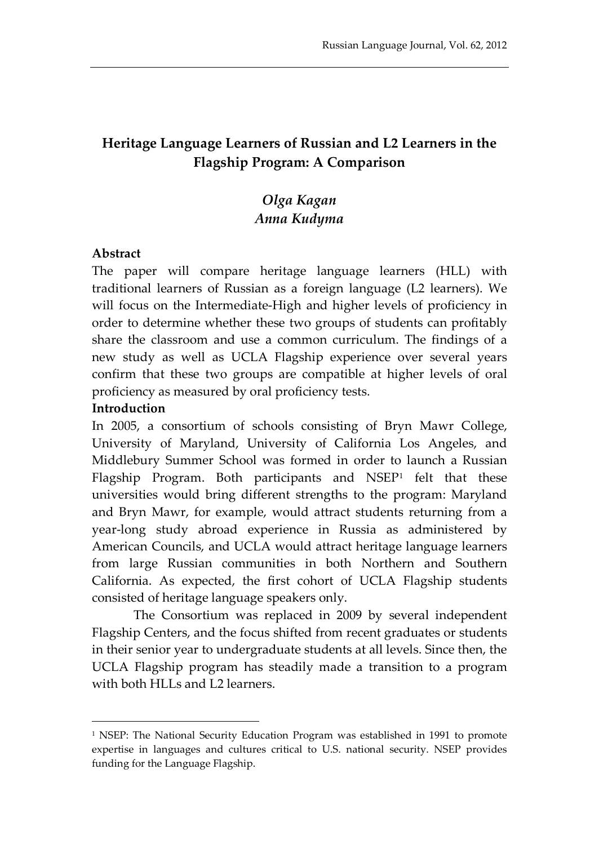## **Heritage Language Learners of Russian and L2 Learners in the Flagship Program: A Comparison**

## *Olga Kagan Anna Kudyma*

#### **Abstract**

The paper will compare heritage language learners (HLL) with traditional learners of Russian as a foreign language (L2 learners). We will focus on the Intermediate-High and higher levels of proficiency in order to determine whether these two groups of students can profitably share the classroom and use a common curriculum. The findings of a new study as well as UCLA Flagship experience over several years confirm that these two groups are compatible at higher levels of oral proficiency as measured by oral proficiency tests.

#### **Introduction**

1

In 2005, a consortium of schools consisting of Bryn Mawr College, University of Maryland, University of California Los Angeles, and Middlebury Summer School was formed in order to launch a Russian Flagship Program. Both participants and  $NSEP<sup>1</sup>$  $NSEP<sup>1</sup>$  $NSEP<sup>1</sup>$  felt that these universities would bring different strengths to the program: Maryland and Bryn Mawr, for example, would attract students returning from a year-long study abroad experience in Russia as administered by American Councils, and UCLA would attract heritage language learners from large Russian communities in both Northern and Southern California. As expected, the first cohort of UCLA Flagship students consisted of heritage language speakers only.

The Consortium was replaced in 2009 by several independent Flagship Centers, and the focus shifted from recent graduates or students in their senior year to undergraduate students at all levels. Since then, the UCLA Flagship program has steadily made a transition to a program with both HLLs and L2 learners.

<span id="page-1-0"></span><sup>&</sup>lt;sup>1</sup> NSEP: The National Security Education Program was established in 1991 to promote expertise in languages and cultures critical to U.S. national security. NSEP provides funding for the Language Flagship.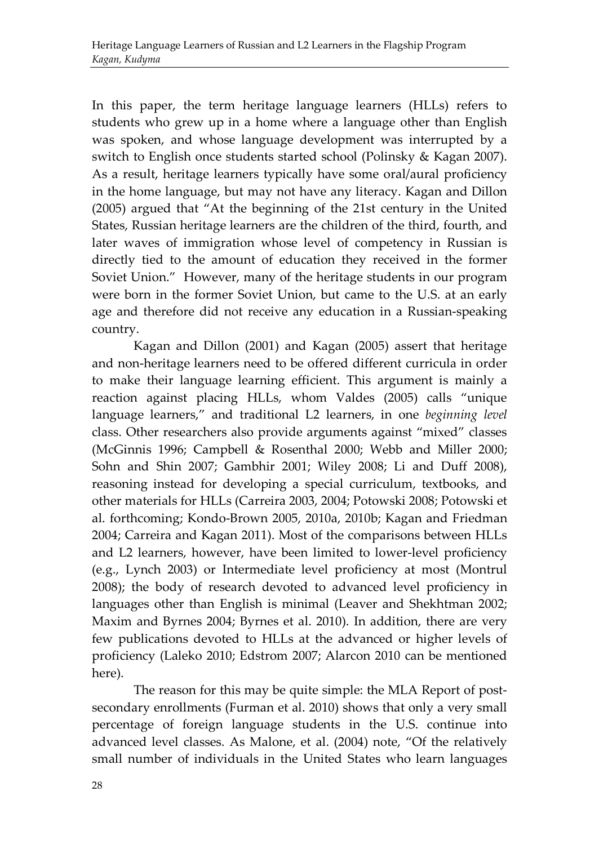In this paper, the term heritage language learners (HLLs) refers to students who grew up in a home where a language other than English was spoken, and whose language development was interrupted by a switch to English once students started school (Polinsky & Kagan 2007). As a result, heritage learners typically have some oral/aural proficiency in the home language, but may not have any literacy. Kagan and Dillon (2005) argued that "At the beginning of the 21st century in the United States, Russian heritage learners are the children of the third, fourth, and later waves of immigration whose level of competency in Russian is directly tied to the amount of education they received in the former Soviet Union." However, many of the heritage students in our program were born in the former Soviet Union, but came to the U.S. at an early age and therefore did not receive any education in a Russian-speaking country.

Kagan and Dillon (2001) and Kagan (2005) assert that heritage and non-heritage learners need to be offered different curricula in order to make their language learning efficient. This argument is mainly a reaction against placing HLLs, whom Valdes (2005) calls "unique language learners," and traditional L2 learners, in one *beginning level* class. Other researchers also provide arguments against "mixed" classes (McGinnis 1996; Campbell & Rosenthal 2000; Webb and Miller 2000; Sohn and Shin 2007; Gambhir 2001; Wiley 2008; Li and Duff 2008), reasoning instead for developing a special curriculum, textbooks, and other materials for HLLs (Carreira 2003, 2004; Potowski 2008; Potowski et al. forthcoming; Kondo-Brown 2005, 2010a, 2010b; Kagan and Friedman 2004; Carreira and Kagan 2011). Most of the comparisons between HLLs and L2 learners, however, have been limited to lower-level proficiency (e.g., Lynch 2003) or Intermediate level proficiency at most (Montrul 2008); the body of research devoted to advanced level proficiency in languages other than English is minimal (Leaver and Shekhtman 2002; Maxim and Byrnes 2004; Byrnes et al. 2010). In addition, there are very few publications devoted to HLLs at the advanced or higher levels of proficiency (Laleko 2010; Edstrom 2007; Alarcon 2010 can be mentioned here).

The reason for this may be quite simple: the MLA Report of postsecondary enrollments (Furman et al. 2010) shows that only a very small percentage of foreign language students in the U.S. continue into advanced level classes. As Malone, et al. (2004) note, "Of the relatively small number of individuals in the United States who learn languages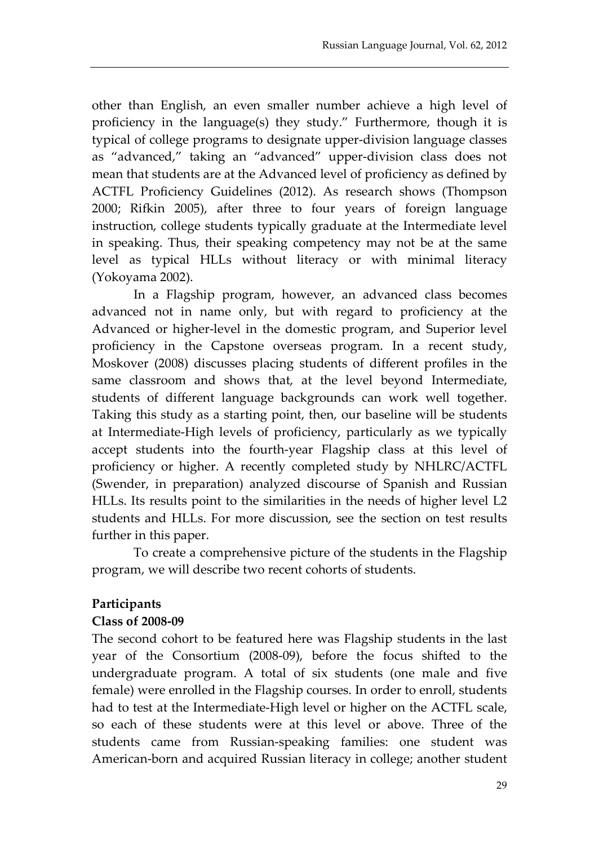other than English, an even smaller number achieve a high level of proficiency in the language(s) they study." Furthermore, though it is typical of college programs to designate upper-division language classes as "advanced," taking an "advanced" upper-division class does not mean that students are at the Advanced level of proficiency as defined by ACTFL Proficiency Guidelines (2012). As research shows (Thompson 2000; Rifkin 2005), after three to four years of foreign language instruction, college students typically graduate at the Intermediate level in speaking. Thus, their speaking competency may not be at the same level as typical HLLs without literacy or with minimal literacy (Yokoyama 2002).

In a Flagship program, however, an advanced class becomes advanced not in name only, but with regard to proficiency at the Advanced or higher-level in the domestic program, and Superior level proficiency in the Capstone overseas program. In a recent study, Moskover (2008) discusses placing students of different profiles in the same classroom and shows that, at the level beyond Intermediate, students of different language backgrounds can work well together. Taking this study as a starting point, then, our baseline will be students at Intermediate-High levels of proficiency, particularly as we typically accept students into the fourth-year Flagship class at this level of proficiency or higher. A recently completed study by NHLRC/ACTFL (Swender, in preparation) analyzed discourse of Spanish and Russian HLLs. Its results point to the similarities in the needs of higher level L2 students and HLLs. For more discussion, see the section on test results further in this paper.

To create a comprehensive picture of the students in the Flagship program, we will describe two recent cohorts of students.

#### **Participants**

#### **Class of 2008-09**

The second cohort to be featured here was Flagship students in the last year of the Consortium (2008-09), before the focus shifted to the undergraduate program. A total of six students (one male and five female) were enrolled in the Flagship courses. In order to enroll, students had to test at the Intermediate-High level or higher on the ACTFL scale, so each of these students were at this level or above. Three of the students came from Russian-speaking families: one student was American-born and acquired Russian literacy in college; another student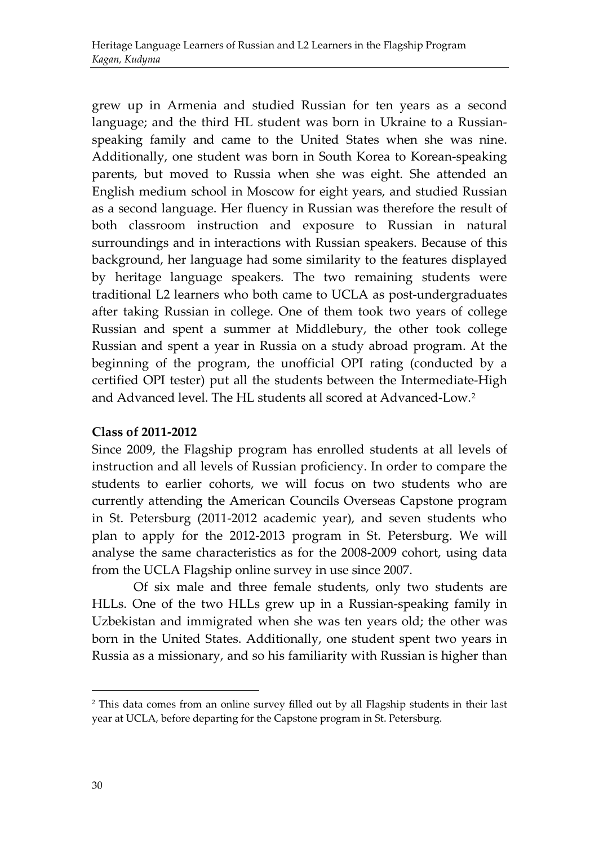grew up in Armenia and studied Russian for ten years as a second language; and the third HL student was born in Ukraine to a Russianspeaking family and came to the United States when she was nine. Additionally, one student was born in South Korea to Korean-speaking parents, but moved to Russia when she was eight. She attended an English medium school in Moscow for eight years, and studied Russian as a second language. Her fluency in Russian was therefore the result of both classroom instruction and exposure to Russian in natural surroundings and in interactions with Russian speakers. Because of this background, her language had some similarity to the features displayed by heritage language speakers. The two remaining students were traditional L2 learners who both came to UCLA as post-undergraduates after taking Russian in college. One of them took two years of college Russian and spent a summer at Middlebury, the other took college Russian and spent a year in Russia on a study abroad program. At the beginning of the program, the unofficial OPI rating (conducted by a certified OPI tester) put all the students between the Intermediate-High and Advanced level. The HL students all scored at Advanced-Low.[2](#page-4-0)

#### **Class of 2011-2012**

Since 2009, the Flagship program has enrolled students at all levels of instruction and all levels of Russian proficiency. In order to compare the students to earlier cohorts, we will focus on two students who are currently attending the American Councils Overseas Capstone program in St. Petersburg (2011-2012 academic year), and seven students who plan to apply for the 2012-2013 program in St. Petersburg. We will analyse the same characteristics as for the 2008-2009 cohort, using data from the UCLA Flagship online survey in use since 2007.

Of six male and three female students, only two students are HLLs. One of the two HLLs grew up in a Russian-speaking family in Uzbekistan and immigrated when she was ten years old; the other was born in the United States. Additionally, one student spent two years in Russia as a missionary, and so his familiarity with Russian is higher than

.

<span id="page-4-0"></span><sup>2</sup> This data comes from an online survey filled out by all Flagship students in their last year at UCLA, before departing for the Capstone program in St. Petersburg.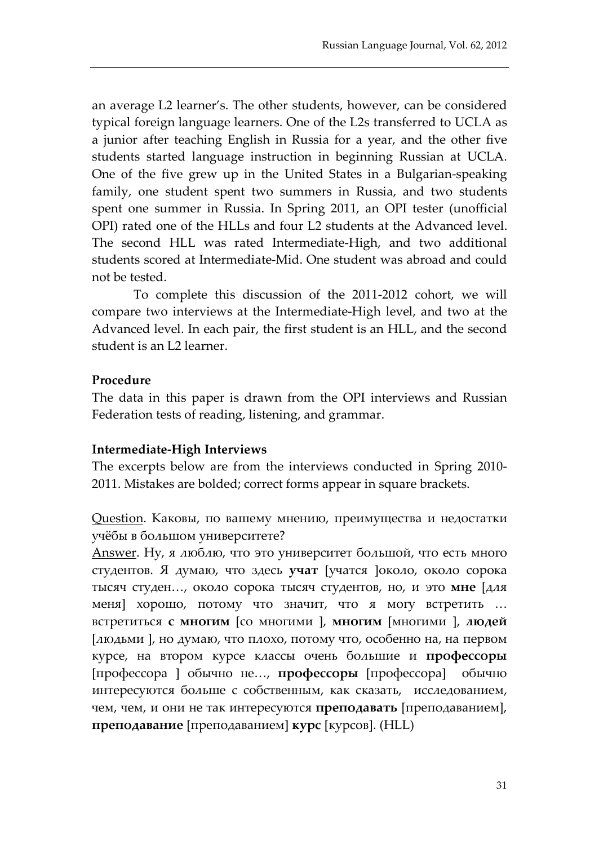an average L2 learner's. The other students, however, can be considered typical foreign language learners. One of the L2s transferred to UCLA as a junior after teaching English in Russia for a year, and the other five students started language instruction in beginning Russian at UCLA. One of the five grew up in the United States in a Bulgarian-speaking family, one student spent two summers in Russia, and two students spent one summer in Russia. In Spring 2011, an OPI tester (unofficial OPI) rated one of the HLLs and four L2 students at the Advanced level. The second HLL was rated Intermediate-High, and two additional students scored at Intermediate-Mid. One student was abroad and could not be tested.

To complete this discussion of the 2011-2012 cohort, we will compare two interviews at the Intermediate-High level, and two at the Advanced level. In each pair, the first student is an HLL, and the second student is an L2 learner.

#### **Procedure**

The data in this paper is drawn from the OPI interviews and Russian Federation tests of reading, listening, and grammar.

#### **Intermediate-High Interviews**

The excerpts below are from the interviews conducted in Spring 2010- 2011. Mistakes are bolded; correct forms appear in square brackets.

Question. Каковы, по вашему мнению, преимущества и недостатки учёбы в большом университете?

Answer. Ну, я люблю, что это университет большой, что есть много студентов. Я думаю, что здесь **учат** [учатся ]около, около сорока тысяч студен…, около сорока тысяч студентов, но, и это **мне** [для меня] хорошо, потому что значит, что я могу встретить … встретиться **с многим** [со многими ], **многим** [многими ], **людей** [людьми ], но думаю, что плохо, потому что, особенно на, на первом курсе, на втором курсе классы очень большие и **профессоры** [профессора ] обычно не…, **профессоры** [профессора] обычно интересуются больше с собственным, как сказать, исследованием, чем, чем, и они не так интересуются **преподавать** [преподаванием], **преподавание** [преподаванием] **курс** [курсов]. (HLL)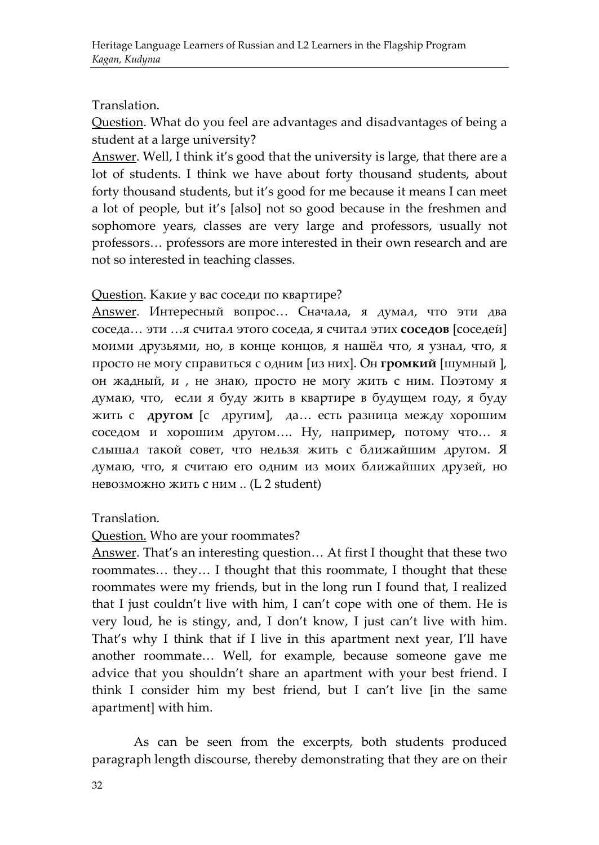#### Translation.

Question. What do you feel are advantages and disadvantages of being a student at a large university?

Answer. Well, I think it's good that the university is large, that there are a lot of students. I think we have about forty thousand students, about forty thousand students, but it's good for me because it means I can meet a lot of people, but it's [also] not so good because in the freshmen and sophomore years, classes are very large and professors, usually not professors… professors are more interested in their own research and are not so interested in teaching classes.

#### Question. Какие у вас соседи по квартире?

Answer. Интересный вопрос… Сначала, я думал, что эти два соседа… эти …я считал этого соседа, я считал этих **соседов** [соседей] моими друзьями, но, в конце концов, я нашёл что, я узнал, что, я просто не могу справиться с одним [из них]. Он **громкий** [шумный ], он жадный, и , не знаю, просто не могу жить с ним. Поэтому я думаю, что, если я буду жить в квартире в будущем году, я буду жить с **другом** [c другим], да… есть разница между хорошим соседом и хорошим другом…. Ну, например**,** потому что… я слышал такой совет, что нельзя жить с ближайшим другом. Я думаю, что, я считаю его одним из моих ближайших друзей, но невозможно жить с ним .. (L 2 student)

#### Translation.

#### Question. Who are your roommates?

Answer. That's an interesting question… At first I thought that these two roommates… they… I thought that this roommate, I thought that these roommates were my friends, but in the long run I found that, I realized that I just couldn't live with him, I can't cope with one of them. He is very loud, he is stingy, and, I don't know, I just can't live with him. That's why I think that if I live in this apartment next year, I'll have another roommate… Well, for example, because someone gave me advice that you shouldn't share an apartment with your best friend. I think I consider him my best friend, but I can't live [in the same apartment] with him.

As can be seen from the excerpts, both students produced paragraph length discourse, thereby demonstrating that they are on their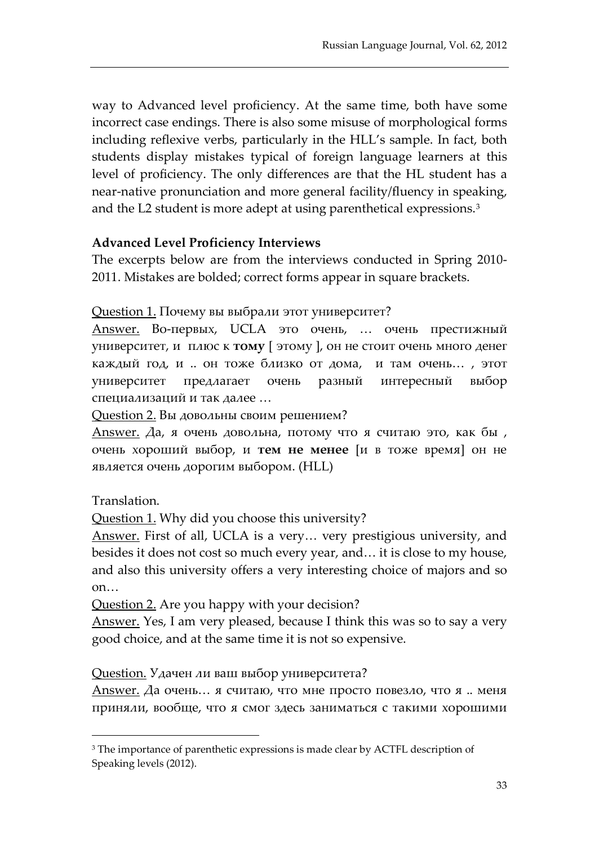way to Advanced level proficiency. At the same time, both have some incorrect case endings. There is also some misuse of morphological forms including reflexive verbs, particularly in the HLL's sample. In fact, both students display mistakes typical of foreign language learners at this level of proficiency. The only differences are that the HL student has a near-native pronunciation and more general facility/fluency in speaking, and the L2 student is more adept at using parenthetical expressions.<sup>3</sup>

#### **Advanced Level Proficiency Interviews**

The excerpts below are from the interviews conducted in Spring 2010- 2011. Mistakes are bolded; correct forms appear in square brackets.

#### Question 1. Почему вы выбрали этот университет?

Answer. Во-первых, UCLA это очень, … очень престижный университет, и плюс к **тому** [ этому ], он не стоит очень много денег каждый год, и .. он тоже близко от дома, и там очень… , этот университет предлагает очень разный интересный выбор специализаций и так далее …

Question 2. Вы довольны своим решением?

Answer. Да, я очень довольна, потому что я считаю это, как бы , очень хороший выбор, и **тем не менее** [и в тоже время] он не является очень дорогим выбором. (HLL)

Translation.

.

Question 1. Why did you choose this university?

Answer. First of all, UCLA is a very… very prestigious university, and besides it does not cost so much every year, and… it is close to my house, and also this university offers a very interesting choice of majors and so on…

Question 2. Are you happy with your decision?

Answer. Yes, I am very pleased, because I think this was so to say a very good choice, and at the same time it is not so expensive.

Question. Удачен ли ваш выбор университета?

Answer. Да очень... я считаю, что мне просто повезло, что я .. меня приняли, вообще, что я смог здесь заниматься с такими хорошими

<span id="page-7-0"></span><sup>&</sup>lt;sup>3</sup> The importance of parenthetic expressions is made clear by ACTFL description of Speaking levels (2012).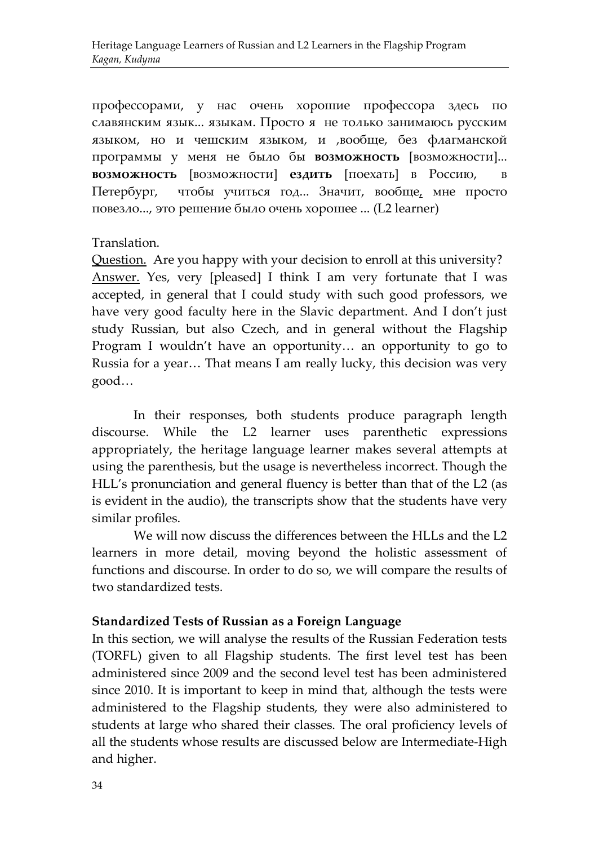профессорами, у нас очень хорошие профессора здесь по славянским язык... языкам. Просто я не только занимаюсь русским языком, но и чешским языком, и ,вообще, без флагманской программы у меня не было бы **возможность** [возможности]... **возможность** [возможности] **ездить** [поехать] в Россию, Петербург, чтобы учиться год... Значит, вообще, мне просто повезло..., это решение было очень хорошее ... (L2 learner)

#### Translation.

Question. Are you happy with your decision to enroll at this university? Answer. Yes, very [pleased] I think I am very fortunate that I was accepted, in general that I could study with such good professors, we have very good faculty here in the Slavic department. And I don't just study Russian, but also Czech, and in general without the Flagship Program I wouldn't have an opportunity… an opportunity to go to Russia for a year… That means I am really lucky, this decision was very good…

In their responses, both students produce paragraph length discourse. While the L2 learner uses parenthetic expressions appropriately, the heritage language learner makes several attempts at using the parenthesis, but the usage is nevertheless incorrect. Though the HLL's pronunciation and general fluency is better than that of the L2 (as is evident in the audio), the transcripts show that the students have very similar profiles.

We will now discuss the differences between the HLLs and the L2 learners in more detail, moving beyond the holistic assessment of functions and discourse. In order to do so, we will compare the results of two standardized tests.

#### **Standardized Tests of Russian as a Foreign Language**

In this section, we will analyse the results of the Russian Federation tests (TORFL) given to all Flagship students. The first level test has been administered since 2009 and the second level test has been administered since 2010. It is important to keep in mind that, although the tests were administered to the Flagship students, they were also administered to students at large who shared their classes. The oral proficiency levels of all the students whose results are discussed below are Intermediate-High and higher.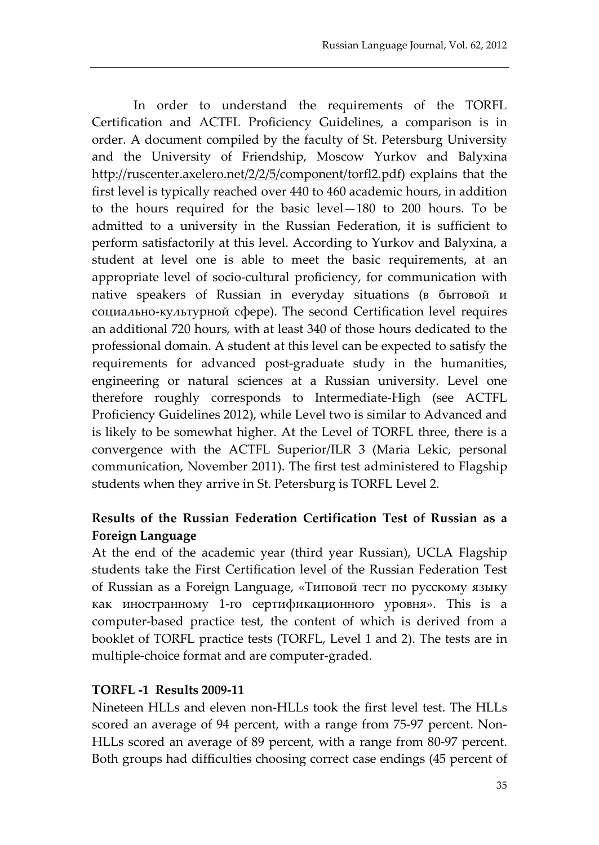In order to understand the requirements of the TORFL Certification and ACTFL Proficiency Guidelines, a comparison is in order. A document compiled by the faculty of St. Petersburg University and the University of Friendship, Moscow Yurkov and Balyxina [http://ruscenter.axelero.net/2/2/5/component/torfl2.pdf\)](http://ruscenter.axelero.net/2/2/5/component/torfl2.pdf) explains that the first level is typically reached over 440 to 460 academic hours, in addition to the hours required for the basic level—180 to 200 hours. To be admitted to a university in the Russian Federation, it is sufficient to perform satisfactorily at this level. According to Yurkov and Balyxina, a student at level one is able to meet the basic requirements, at an appropriate level of socio-cultural proficiency, for communication with native speakers of Russian in everyday situations (в бытовой и социально-культурной сфере). The second Certification level requires an additional 720 hours, with at least 340 of those hours dedicated to the professional domain. A student at this level can be expected to satisfy the requirements for advanced post-graduate study in the humanities, engineering or natural sciences at a Russian university. Level one therefore roughly corresponds to Intermediate-High (see ACTFL Proficiency Guidelines 2012), while Level two is similar to Advanced and is likely to be somewhat higher. At the Level of TORFL three, there is a convergence with the ACTFL Superior/ILR 3 (Maria Lekic, personal communication, November 2011). The first test administered to Flagship students when they arrive in St. Petersburg is TORFL Level 2.

### **Results of the Russian Federation Certification Test of Russian as a Foreign Language**

At the end of the academic year (third year Russian), UCLA Flagship students take the First Certification level of the Russian Federation Test of Russian as a Foreign Language, «Типовой тест по русскому языку как иностранному 1-го сертификационного уровня». This is a computer-based practice test, the content of which is derived from a booklet of TORFL practice tests (TORFL, Level 1 and 2). The tests are in multiple-choice format and are computer-graded.

#### **TORFL -1 Results 2009-11**

Nineteen HLLs and eleven non-HLLs took the first level test. The HLLs scored an average of 94 percent, with a range from 75-97 percent. Non-HLLs scored an average of 89 percent, with a range from 80-97 percent. Both groups had difficulties choosing correct case endings (45 percent of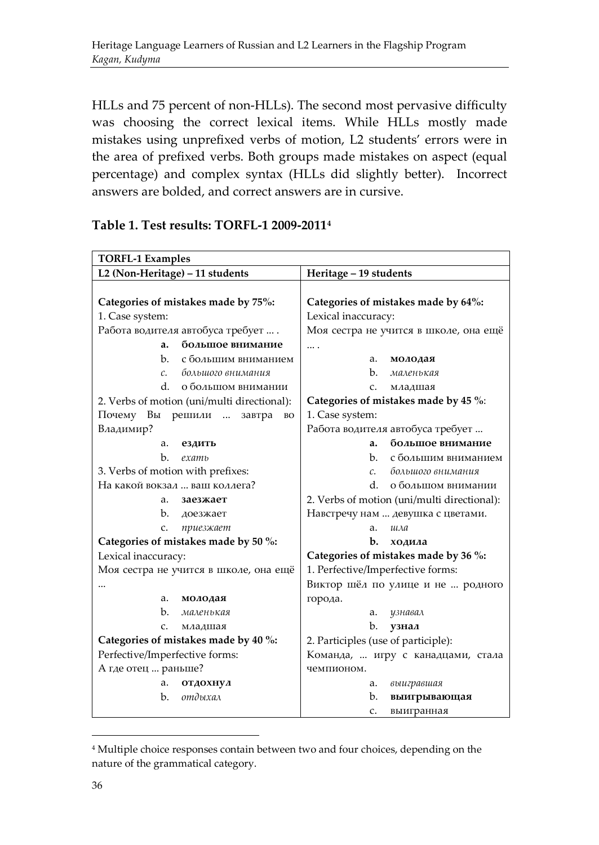HLLs and 75 percent of non-HLLs). The second most pervasive difficulty was choosing the correct lexical items. While HLLs mostly made mistakes using unprefixed verbs of motion, L2 students' errors were in the area of prefixed verbs. Both groups made mistakes on aspect (equal percentage) and complex syntax (HLLs did slightly better). Incorrect answers are bolded, and correct answers are in cursive.

| <b>TORFL-1 Examples</b>                     |                                             |
|---------------------------------------------|---------------------------------------------|
| L2 (Non-Heritage) - 11 students             | Heritage - 19 students                      |
|                                             |                                             |
| Categories of mistakes made by 75%:         | Categories of mistakes made by 64%:         |
| 1. Case system:                             | Lexical inaccuracy:                         |
| Работа водителя автобуса требует  .         | Моя сестра не учится в школе, она ещё       |
| большое внимание<br>a.                      | .                                           |
| b.<br>с большим вниманием                   | a.<br>молодая                               |
| большого внимания<br>$\mathcal{C}$ .        | b.<br>маленькая                             |
| d.<br>о большом внимании                    | C.<br>младшая                               |
| 2. Verbs of motion (uni/multi directional): | Categories of mistakes made by 45 %:        |
| Почему<br>Вы<br>решили<br>завтра<br>BO      | 1. Case system:                             |
| Владимир?                                   | Работа водителя автобуса требует            |
| ездить<br>a.                                | большое внимание<br>a.                      |
| b.<br>examb                                 | $h_{-}$<br>с большим вниманием              |
| 3. Verbs of motion with prefixes:           | большого внимания<br>$\mathcal{C}$ .        |
| На какой вокзал  ваш коллега?               | d.<br>о большом внимании                    |
| a.<br>заезжает                              | 2. Verbs of motion (uni/multi directional): |
| b.<br>доезжает                              | Навстречу нам  девушка с цветами.           |
| c.<br>приезжает                             | a.<br>шла                                   |
| Categories of mistakes made by 50 %:        | $b$ .<br>ходила                             |
| Lexical inaccuracy:                         | Categories of mistakes made by 36 %:        |
| Моя сестра не учится в школе, она ещё       | 1. Perfective/Imperfective forms:           |
|                                             | Виктор шёл по улице и не  родного           |
| a.<br>молодая                               | города.                                     |
| b.<br>маленькая                             | a.<br>узнавал                               |
| $C_{\star}$<br>младшая                      | b.<br>узнал                                 |
| Categories of mistakes made by 40 %:        | 2. Participles (use of participle):         |
| Perfective/Imperfective forms:              | Команда,  игру с канадцами, стала           |
| А где отец  раньше?                         | чемпионом.                                  |
| a.<br>отдохнул                              | выигравшая<br>а.                            |
| отдыхал<br>b.                               | b.<br>выигрывающая                          |
|                                             | c.<br>выигранная                            |

#### **Table 1. Test results: TORFL-1 2009-2011[4](#page-10-0)**

.

<span id="page-10-0"></span><sup>4</sup> Multiple choice responses contain between two and four choices, depending on the nature of the grammatical category.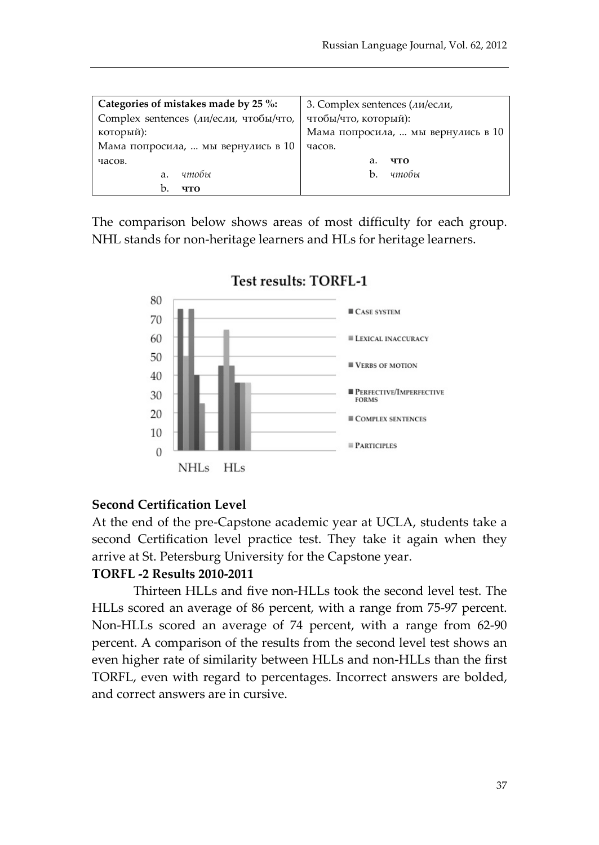| Categories of mistakes made by 25 %:   | 3. Complex sentences (ли/если,     |
|----------------------------------------|------------------------------------|
| Complex sentences (ли/если, чтобы/что, | чтобы/что, который):               |
| который):                              | Мама попросила,  мы вернулись в 10 |
| Мама попросила,  мы вернулись в 10     | часов.                             |
| часов.                                 | что<br>a.                          |
| чтобы<br>a.                            | чтобы<br>b.                        |
| b.<br>что                              |                                    |

The comparison below shows areas of most difficulty for each group. NHL stands for non-heritage learners and HLs for heritage learners.



#### **Test results: TORFL-1**

#### **Second Certification Level**

At the end of the pre-Capstone academic year at UCLA, students take a second Certification level practice test. They take it again when they arrive at St. Petersburg University for the Capstone year.

#### **TORFL -2 Results 2010-2011**

Thirteen HLLs and five non-HLLs took the second level test. The HLLs scored an average of 86 percent, with a range from 75-97 percent. Non-HLLs scored an average of 74 percent, with a range from 62-90 percent. A comparison of the results from the second level test shows an even higher rate of similarity between HLLs and non-HLLs than the first TORFL, even with regard to percentages. Incorrect answers are bolded, and correct answers are in cursive.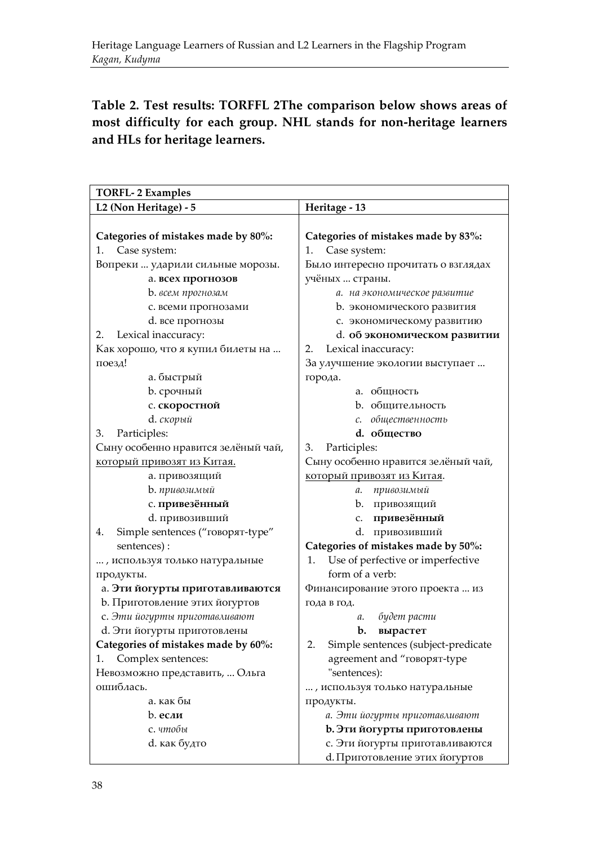**Table 2. Test results: TORFFL 2The comparison below shows areas of most difficulty for each group. NHL stands for non-heritage learners and HLs for heritage learners.**

| <b>TORFL-2 Examples</b>                |                                           |
|----------------------------------------|-------------------------------------------|
| L2 (Non Heritage) - 5                  | Heritage - 13                             |
|                                        |                                           |
| Categories of mistakes made by 80%:    | Categories of mistakes made by 83%:       |
| Case system:<br>1.                     | 1.<br>Case system:                        |
| Вопреки  ударили сильные морозы.       | Было интересно прочитать о взглядах       |
| а. всех прогнозов                      | учёных  страны.                           |
| b. всем прогнозам                      | а. на экономическое развитие              |
| с. всеми прогнозами                    | b. экономического развития                |
| d. все прогнозы                        | с. экономическому развитию                |
| Lexical inaccuracy:<br>2.              | d. об экономическом развитии              |
| Как хорошо, что я купил билеты на      | Lexical inaccuracy:<br>2.                 |
| поезд!                                 | За улучшение экологии выступает           |
| а. быстрый                             | города.                                   |
| <b>b</b> . срочный                     | а. общность                               |
| с. скоростной                          | b. общительность                          |
| d. <i>скорый</i>                       | общественность<br>с.                      |
| 3.<br>Participles:                     | d. общество                               |
| Сыну особенно нравится зелёный чай,    | 3.<br>Participles:                        |
| который привозят из Китая.             | Сыну особенно нравится зелёный чай,       |
| а. привозящий                          | который привозят из Китая.                |
| b. привозимый                          | а. привозимый                             |
| с. привезённый                         | b. привозящий                             |
| d. привозивший                         | привезённый<br>c.                         |
| Simple sentences ("говорят-type"<br>4. | d. привозивший                            |
| sentences):                            | Categories of mistakes made by 50%:       |
| , используя только натуральные         | Use of perfective or imperfective<br>1.   |
| продукты.                              | form of a verb:                           |
| а. Эти йогурты приготавливаются        | Финансирование этого проекта  из          |
| b. Приготовление этих йогуртов         | года в год.                               |
| с. Эти йогурты приготавливают          | будет расти<br>a.                         |
| d. Эти йогурты приготовлены            | b.<br>вырастет                            |
| Categories of mistakes made by 60%:    | Simple sentences (subject-predicate<br>2. |
| Complex sentences:<br>1.               | agreement and "говорят-type               |
| Невозможно представить,  Ольга         | "sentences):                              |
| ошиблась.                              | , используя только натуральные            |
| а. как бы                              | продукты.                                 |
| $b.$ если                              | а. Эти йогурты приготавливают             |
| с. чтобы                               | b. Эти йогурты приготовлены               |
| d. как будто                           | с. Эти йогурты приготавливаются           |
|                                        | d. Приготовление этих йогуртов            |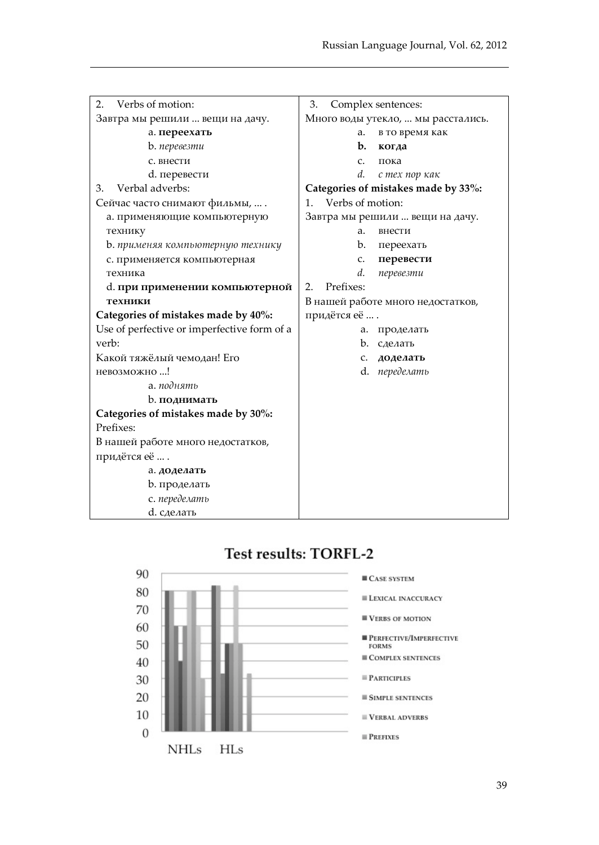| Verbs of motion:<br>2.                      | Complex sentences:<br>3.            |
|---------------------------------------------|-------------------------------------|
| Завтра мы решили  вещи на дачу.             | Много воды утекло,  мы расстались.  |
| а. переехать                                | в то время как<br>а.                |
| b. <i>перевезти</i>                         | b.<br>когда                         |
| с. внести                                   | c.<br>пока                          |
| d. перевести                                | d.<br>с тех пор как                 |
| Verbal adverbs:<br>3.                       | Categories of mistakes made by 33%: |
| Сейчас часто снимают фильмы,  .             | Verbs of motion:<br>1.              |
| а. применяющие компьютерную                 | Завтра мы решили  вещи на дачу.     |
| технику                                     | a.<br>внести                        |
| b. применяя компьютерную технику            | b.<br>переехать                     |
| с. применяется компьютерная                 | перевести<br>c.                     |
| техника                                     | d.<br>перевезти                     |
| d. при применении компьютерной              | Prefixes:<br>2.                     |
| техники                                     | В нашей работе много недостатков,   |
| Categories of mistakes made by 40%:         | придётся её                         |
| Use of perfective or imperfective form of a | a.<br>проделать                     |
| verb:                                       | b.<br>сделать                       |
| Какой тяжёлый чемодан! Его                  | доделать<br>c.                      |
| невозможно!                                 | d.<br>переделать                    |
| а. поднять                                  |                                     |
| b. поднимать                                |                                     |
| Categories of mistakes made by 30%:         |                                     |
| Prefixes:                                   |                                     |
| В нашей работе много недостатков,           |                                     |
| придётся её                                 |                                     |
| а. доделать                                 |                                     |
| b. проделать                                |                                     |
| с. переделать                               |                                     |
| d. сделать                                  |                                     |

# **Test results: TORFL-2**

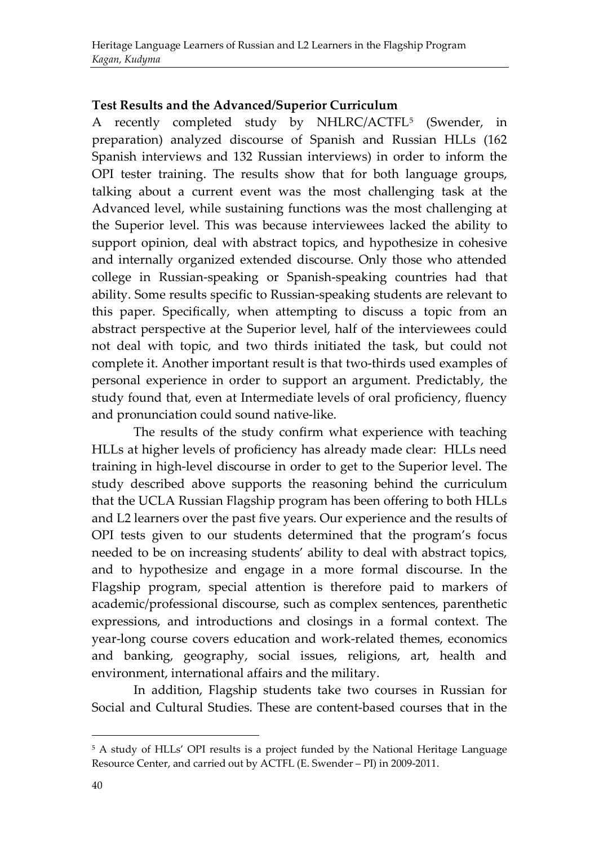#### **Test Results and the Advanced/Superior Curriculum**

A recently completed study by NHLRC/ACTFL[5](#page-14-0) (Swender, in preparation) analyzed discourse of Spanish and Russian HLLs (162 Spanish interviews and 132 Russian interviews) in order to inform the OPI tester training. The results show that for both language groups, talking about a current event was the most challenging task at the Advanced level, while sustaining functions was the most challenging at the Superior level. This was because interviewees lacked the ability to support opinion, deal with abstract topics, and hypothesize in cohesive and internally organized extended discourse. Only those who attended college in Russian-speaking or Spanish-speaking countries had that ability. Some results specific to Russian-speaking students are relevant to this paper. Specifically, when attempting to discuss a topic from an abstract perspective at the Superior level, half of the interviewees could not deal with topic, and two thirds initiated the task, but could not complete it. Another important result is that two-thirds used examples of personal experience in order to support an argument. Predictably, the study found that, even at Intermediate levels of oral proficiency, fluency and pronunciation could sound native-like.

The results of the study confirm what experience with teaching HLLs at higher levels of proficiency has already made clear: HLLs need training in high-level discourse in order to get to the Superior level. The study described above supports the reasoning behind the curriculum that the UCLA Russian Flagship program has been offering to both HLLs and L2 learners over the past five years. Our experience and the results of OPI tests given to our students determined that the program's focus needed to be on increasing students' ability to deal with abstract topics, and to hypothesize and engage in a more formal discourse. In the Flagship program, special attention is therefore paid to markers of academic/professional discourse, such as complex sentences, parenthetic expressions, and introductions and closings in a formal context. The year-long course covers education and work-related themes, economics and banking, geography, social issues, religions, art, health and environment, international affairs and the military.

In addition, Flagship students take two courses in Russian for Social and Cultural Studies. These are content-based courses that in the

.

<span id="page-14-0"></span><sup>5</sup> A study of HLLs' OPI results is a project funded by the National Heritage Language Resource Center, and carried out by ACTFL (E. Swender – PI) in 2009-2011.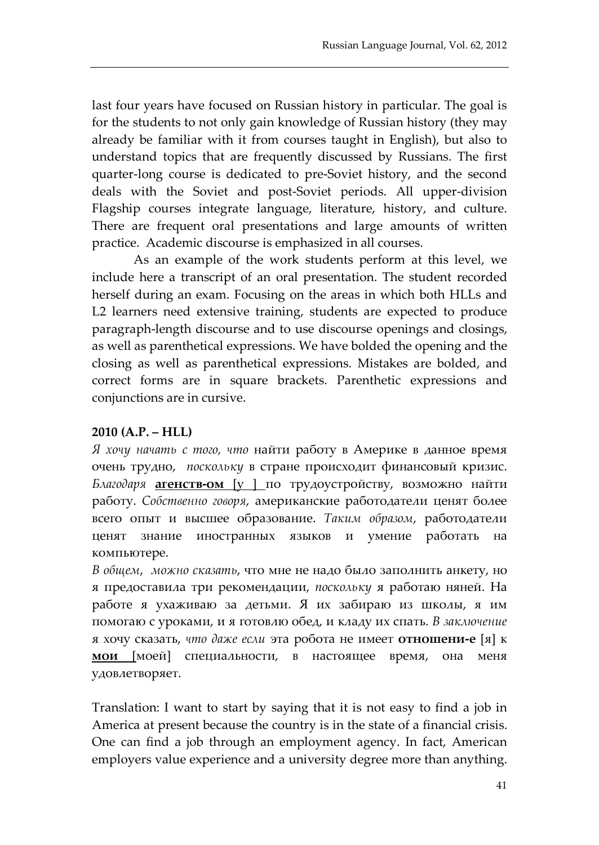last four years have focused on Russian history in particular. The goal is for the students to not only gain knowledge of Russian history (they may already be familiar with it from courses taught in English), but also to understand topics that are frequently discussed by Russians. The first quarter-long course is dedicated to pre-Soviet history, and the second deals with the Soviet and post-Soviet periods. All upper-division Flagship courses integrate language, literature, history, and culture. There are frequent oral presentations and large amounts of written practice. Academic discourse is emphasized in all courses.

As an example of the work students perform at this level, we include here a transcript of an oral presentation. The student recorded herself during an exam. Focusing on the areas in which both HLLs and L2 learners need extensive training, students are expected to produce paragraph-length discourse and to use discourse openings and closings, as well as parenthetical expressions. We have bolded the opening and the closing as well as parenthetical expressions. Mistakes are bolded, and correct forms are in square brackets. Parenthetic expressions and conjunctions are in cursive.

#### **2010 (A.P. – HLL)**

*Я хочу начать с того, что* найти работу в Америке в данное время очень трудно, *поскольку* в стране происходит финансовый кризис. *Благодаря* **агенств-ом** [у ] по трудоустройству, возможно найти работу. *Собственно говоря*, американские работодатели ценят более всего опыт и высшее образование. *Таким образом*, работодатели ценят знание иностранных языков и умение работать на компьютере.

*В общем*, *можно сказать*, что мне не надо было заполнить анкету, но я предоставила три рекомендации, *поскольку* я работаю няней. На работе я ухаживаю за детьми. Я их забираю из школы, я им помогаю с уроками, и я готовлю обед, и кладу их спать. *В заключение* я хочу сказать, *что даже если* эта робота не имеет **отношени-е** [я] к **мои** [моей] специальности, в настоящее время, она меня удовлетворяет.

Translation: I want to start by saying that it is not easy to find a job in America at present because the country is in the state of a financial crisis. One can find a job through an employment agency. In fact, American employers value experience and a university degree more than anything.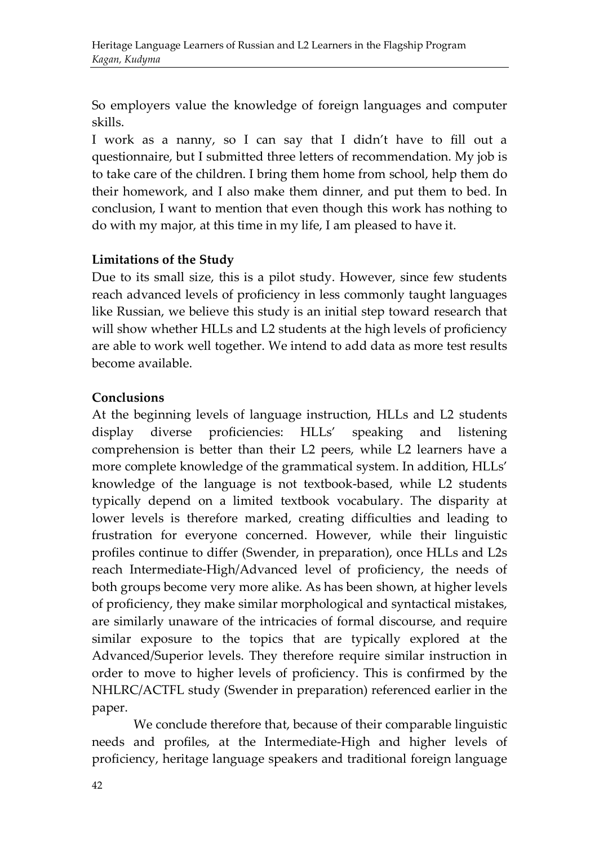So employers value the knowledge of foreign languages and computer skills.

I work as a nanny, so I can say that I didn't have to fill out a questionnaire, but I submitted three letters of recommendation. My job is to take care of the children. I bring them home from school, help them do their homework, and I also make them dinner, and put them to bed. In conclusion, I want to mention that even though this work has nothing to do with my major, at this time in my life, I am pleased to have it.

#### **Limitations of the Study**

Due to its small size, this is a pilot study. However, since few students reach advanced levels of proficiency in less commonly taught languages like Russian, we believe this study is an initial step toward research that will show whether HLLs and L2 students at the high levels of proficiency are able to work well together. We intend to add data as more test results become available.

#### **Conclusions**

At the beginning levels of language instruction, HLLs and L2 students display diverse proficiencies: HLLs' speaking and listening comprehension is better than their L2 peers, while L2 learners have a more complete knowledge of the grammatical system. In addition, HLLs' knowledge of the language is not textbook-based, while L2 students typically depend on a limited textbook vocabulary. The disparity at lower levels is therefore marked, creating difficulties and leading to frustration for everyone concerned. However, while their linguistic profiles continue to differ (Swender, in preparation), once HLLs and L2s reach Intermediate-High/Advanced level of proficiency, the needs of both groups become very more alike. As has been shown, at higher levels of proficiency, they make similar morphological and syntactical mistakes, are similarly unaware of the intricacies of formal discourse, and require similar exposure to the topics that are typically explored at the Advanced/Superior levels. They therefore require similar instruction in order to move to higher levels of proficiency. This is confirmed by the NHLRC/ACTFL study (Swender in preparation) referenced earlier in the paper.

We conclude therefore that, because of their comparable linguistic needs and profiles, at the Intermediate-High and higher levels of proficiency, heritage language speakers and traditional foreign language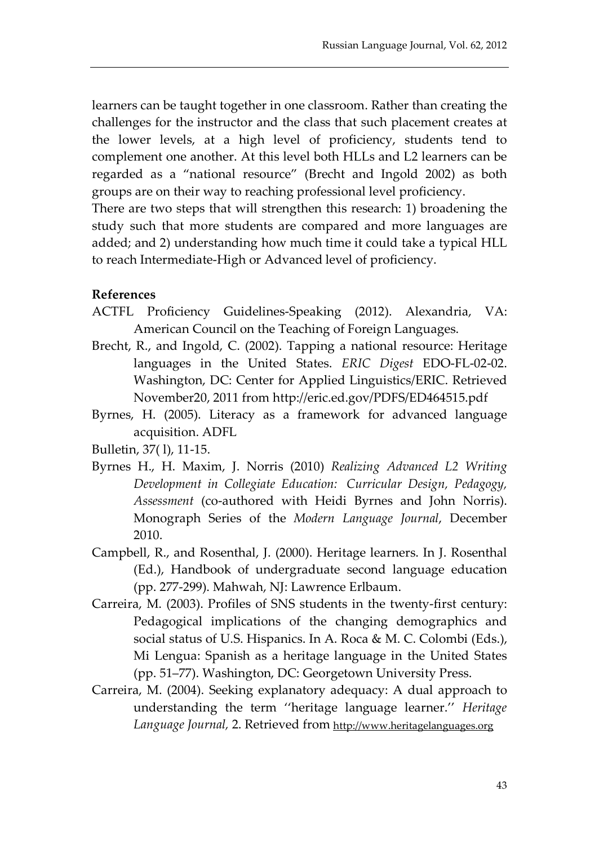learners can be taught together in one classroom. Rather than creating the challenges for the instructor and the class that such placement creates at the lower levels, at a high level of proficiency, students tend to complement one another. At this level both HLLs and L2 learners can be regarded as a "national resource" (Brecht and Ingold 2002) as both groups are on their way to reaching professional level proficiency.

There are two steps that will strengthen this research: 1) broadening the study such that more students are compared and more languages are added; and 2) understanding how much time it could take a typical HLL to reach Intermediate-High or Advanced level of proficiency.

#### **References**

- ACTFL Proficiency Guidelines-Speaking (2012). Alexandria, VA: American Council on the Teaching of Foreign Languages.
- Brecht, R., and Ingold, C. (2002). Tapping a national resource: Heritage languages in the United States. *ERIC Digest* EDO-FL-02-02. Washington, DC: Center for Applied Linguistics/ERIC. Retrieved November20, 2011 from http://eric.ed.gov/PDFS/ED464515.pdf
- Byrnes, H. (2005). Literacy as a framework for advanced language acquisition. ADFL

Bulletin, 37( l), 11-15.

- Byrnes H., H. Maxim, J. Norris (2010) *Realizing Advanced L2 Writing Development in Collegiate Education: Curricular Design, Pedagogy, Assessment* (co-authored with Heidi Byrnes and John Norris). Monograph Series of the *Modern Language Journal*, December 2010.
- Campbell, R., and Rosenthal, J. (2000). Heritage learners. In J. Rosenthal (Ed.), Handbook of undergraduate second language education (pp. 277-299). Mahwah, NJ: Lawrence Erlbaum.
- Carreira, M. (2003). Profiles of SNS students in the twenty-first century: Pedagogical implications of the changing demographics and social status of U.S. Hispanics. In A. Roca & M. C. Colombi (Eds.), Mi Lengua: Spanish as a heritage language in the United States (pp. 51–77). Washington, DC: Georgetown University Press.
- Carreira, M. (2004). Seeking explanatory adequacy: A dual approach to understanding the term ''heritage language learner.'' *Heritage Language Journal,* 2. Retrieved from [http://www.heritagelanguages.org](http://www.heritagelanguages.org/)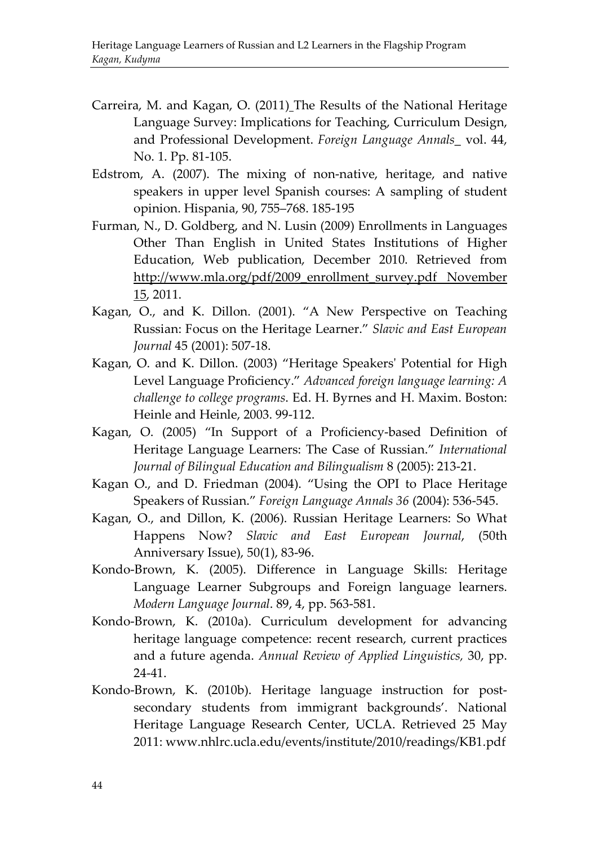- Carreira, M. and Kagan, O. (2011) The Results of the National Heritage Language Survey: Implications for Teaching, Curriculum Design, and Professional Development. *Foreign Language Annals*\_ vol. 44, No. 1. Pp. 81-105.
- Edstrom, A. (2007). The mixing of non-native, heritage, and native speakers in upper level Spanish courses: A sampling of student opinion. Hispania, 90, 755–768. 185-195
- Furman, N., D. Goldberg, and N. Lusin (2009) Enrollments in Languages Other Than English in United States Institutions of Higher Education, Web publication, December 2010. Retrieved from [http://www.mla.org/pdf/2009\\_enrollment\\_survey.pdf November](http://www.mla.org/pdf/2009_enrollment_survey.pdf%20November%2015)  [15,](http://www.mla.org/pdf/2009_enrollment_survey.pdf%20November%2015) 2011.
- Kagan, O., and K. Dillon. (2001). "A New Perspective on Teaching Russian: Focus on the Heritage Learner." *Slavic and East European Journal* 45 (2001): 507-18.
- Kagan, O. and K. Dillon. (2003) "Heritage Speakers' Potential for High Level Language Proficiency." *Advanced foreign language learning: A challenge to college programs*. Ed. H. Byrnes and H. Maxim. Boston: Heinle and Heinle, 2003. 99-112.
- Kagan, O. (2005) "In Support of a Proficiency-based Definition of Heritage Language Learners: The Case of Russian." *International Journal of Bilingual Education and Bilingualism* 8 (2005): 213-21.
- Kagan O., and D. Friedman (2004). "Using the OPI to Place Heritage Speakers of Russian." *Foreign Language Annals 36* (2004): 536-545.
- Kagan, O., and Dillon, K. (2006). Russian Heritage Learners: So What Happens Now? *Slavic and East European Journal*, (50th Anniversary Issue), 50(1), 83-96.
- Kondo-Brown, K. (2005). Difference in Language Skills: Heritage Language Learner Subgroups and Foreign language learners. *Modern Language Journal*. 89, 4, pp. 563-581.
- Kondo-Brown, K. (2010a). Curriculum development for advancing heritage language competence: recent research, current practices and a future agenda. *Annual Review of Applied Linguistics,* 30, pp. 24-41.
- Kondo-Brown, K. (2010b). Heritage language instruction for postsecondary students from immigrant backgrounds'. National Heritage Language Research Center, UCLA. Retrieved 25 May 2011: www.nhlrc.ucla.edu/events/institute/2010/readings/KB1.pdf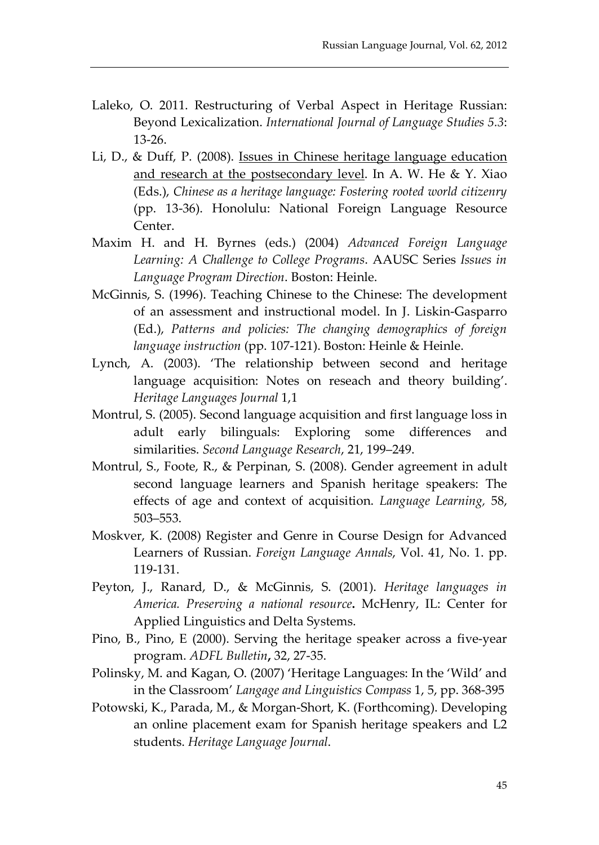- Laleko, O. 2011. Restructuring of Verbal Aspect in Heritage Russian: Beyond Lexicalization. *International Journal of Language Studies 5.3*: 13-26.
- Li, D., & Duff, P. (2008). [Issues in Chinese heritage language education](http://www.lerc.educ.ubc.ca/fac/duff/personal_website/Publications/Li%20&%20Duff%20%282007%29%20issues%20in%20chinese.pdf)  [and research at the postsecondary level.](http://www.lerc.educ.ubc.ca/fac/duff/personal_website/Publications/Li%20&%20Duff%20%282007%29%20issues%20in%20chinese.pdf) In A. W. He & Y. Xiao (Eds.), *Chinese as a heritage language: Fostering rooted world citizenry* (pp. 13-36). Honolulu: National Foreign Language Resource Center.
- Maxim H. and H. Byrnes (eds.) (2004) *Advanced Foreign Language Learning: A Challenge to College Programs*. AAUSC Series *Issues in Language Program Direction*. Boston: Heinle.
- McGinnis, S. (1996). Teaching Chinese to the Chinese: The development of an assessment and instructional model. In J. Liskin-Gasparro (Ed.), *Patterns and policies: The changing demographics of foreign language instruction* (pp. 107-121). Boston: Heinle & Heinle.
- Lynch, A. (2003). 'The relationship between second and heritage language acquisition: Notes on reseach and theory building'. *Heritage Languages Journal* 1,1
- Montrul, S. (2005). Second language acquisition and first language loss in adult early bilinguals: Exploring some differences and similarities. *Second Language Research*, 21, 199–249.
- Montrul, S., Foote, R., & Perpinan, S. (2008). Gender agreement in adult second language learners and Spanish heritage speakers: The effects of age and context of acquisition. *Language Learning,* 58, 503–553.
- Moskver, K. (2008) Register and Genre in Course Design for Advanced Learners of Russian. *Foreign Language Annals*, Vol. 41, No. 1. pp. 119-131.
- Peyton, J., Ranard, D., & McGinnis, S. (2001). *Heritage languages in America. Preserving a national resource***.** McHenry, IL: Center for Applied Linguistics and Delta Systems.
- Pino, B., Pino, E (2000). Serving the heritage speaker across a five-year program. *ADFL Bulletin***,** 32, 27-35.
- Polinsky, M. and Kagan, O. (2007) 'Heritage Languages: In the 'Wild' and in the Classroom' *Langage and Linguistics Compass* 1, 5, pp. 368-395
- Potowski, K., Parada, M., & Morgan-Short, K. (Forthcoming). Developing an online placement exam for Spanish heritage speakers and L2 students. *Heritage Language Journal*.